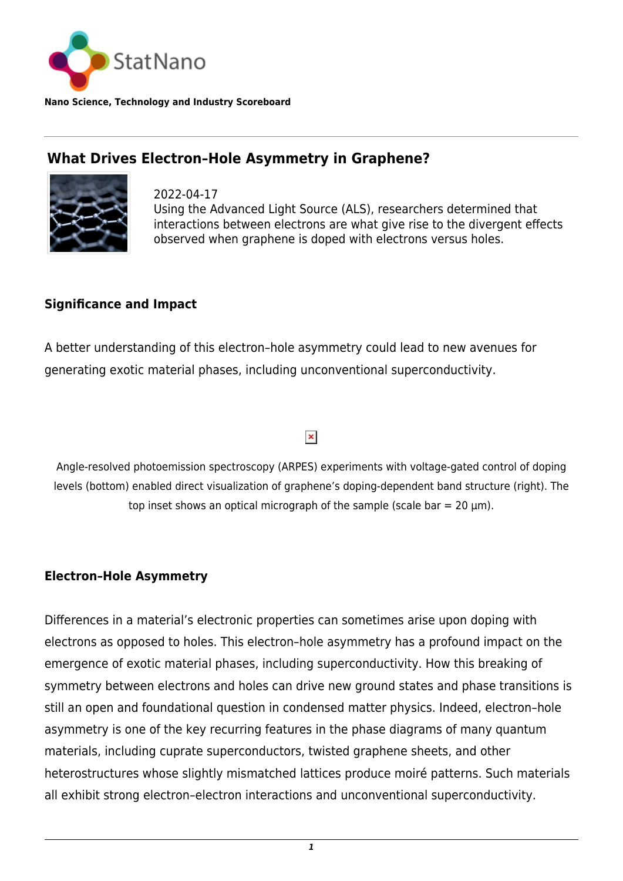

**Nano Science, Technology and Industry Scoreboard**

# **What Drives Electron–Hole Asymmetry in Graphene?**



2022-04-17 Using the Advanced Light Source (ALS), researchers determined that interactions between electrons are what give rise to the divergent effects observed when graphene is doped with electrons versus holes.

## **Significance and Impact**

A better understanding of this electron–hole asymmetry could lead to new avenues for generating exotic material phases, including unconventional superconductivity.

#### $\pmb{\times}$

Angle-resolved photoemission spectroscopy (ARPES) experiments with voltage-gated control of doping levels (bottom) enabled direct visualization of graphene's doping-dependent band structure (right). The top inset shows an optical micrograph of the sample (scale bar =  $20 \mu m$ ).

## **Electron–Hole Asymmetry**

Differences in a material's electronic properties can sometimes arise upon doping with electrons as opposed to holes. This electron–hole asymmetry has a profound impact on the emergence of exotic material phases, including superconductivity. How this breaking of symmetry between electrons and holes can drive new ground states and phase transitions is still an open and foundational question in condensed matter physics. Indeed, electron–hole asymmetry is one of the key recurring features in the phase diagrams of many quantum materials, including cuprate superconductors, twisted graphene sheets, and other heterostructures whose slightly mismatched lattices produce moiré patterns. Such materials all exhibit strong electron–electron interactions and unconventional superconductivity.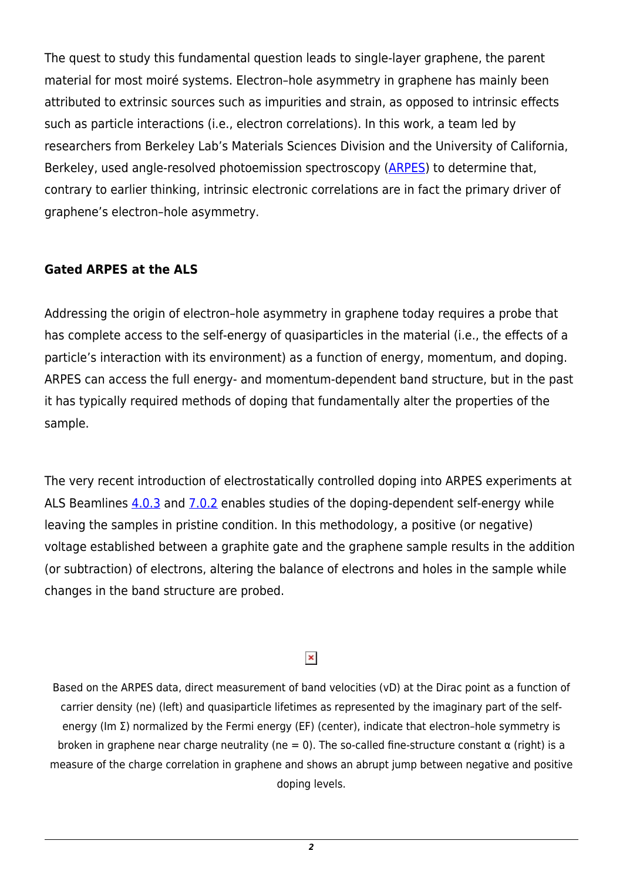The quest to study this fundamental question leads to single-layer graphene, the parent material for most moiré systems. Electron–hole asymmetry in graphene has mainly been attributed to extrinsic sources such as impurities and strain, as opposed to intrinsic effects such as particle interactions (i.e., electron correlations). In this work, a team led by researchers from Berkeley Lab's Materials Sciences Division and the University of California, Berkeley, used angle-resolved photoemission spectroscopy ([ARPES\)](https://als.lbl.gov/tag/arpes/) to determine that, contrary to earlier thinking, intrinsic electronic correlations are in fact the primary driver of graphene's electron–hole asymmetry.

## **Gated ARPES at the ALS**

Addressing the origin of electron–hole asymmetry in graphene today requires a probe that has complete access to the self-energy of quasiparticles in the material (i.e., the effects of a particle's interaction with its environment) as a function of energy, momentum, and doping. ARPES can access the full energy- and momentum-dependent band structure, but in the past it has typically required methods of doping that fundamentally alter the properties of the sample.

The very recent introduction of electrostatically controlled doping into ARPES experiments at ALS Beamlines  $4.0.3$  and  $7.0.2$  enables studies of the doping-dependent self-energy while leaving the samples in pristine condition. In this methodology, a positive (or negative) voltage established between a graphite gate and the graphene sample results in the addition (or subtraction) of electrons, altering the balance of electrons and holes in the sample while changes in the band structure are probed.

#### $\pmb{\times}$

Based on the ARPES data, direct measurement of band velocities (vD) at the Dirac point as a function of carrier density (ne) (left) and quasiparticle lifetimes as represented by the imaginary part of the selfenergy (Im Σ) normalized by the Fermi energy (EF) (center), indicate that electron–hole symmetry is broken in graphene near charge neutrality (ne = 0). The so-called fine-structure constant  $\alpha$  (right) is a measure of the charge correlation in graphene and shows an abrupt jump between negative and positive doping levels.